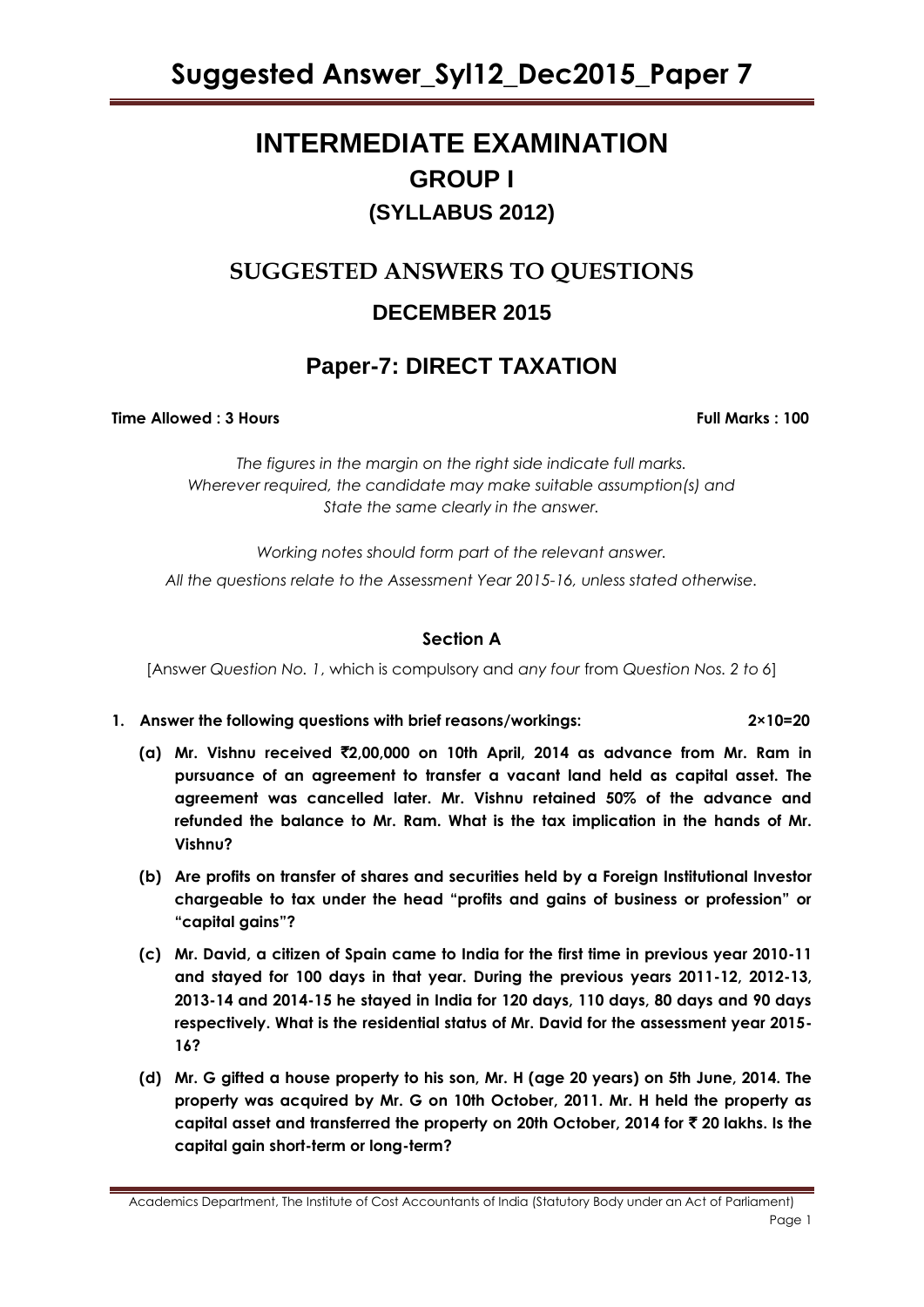# **INTERMEDIATE EXAMINATION GROUP I (SYLLABUS 2012)**

# **SUGGESTED ANSWERS TO QUESTIONS**

# **DECEMBER 2015**

# **Paper-7: DIRECT TAXATION**

### **Time Allowed : 3 Hours Full Marks Full Marks : 100**

*The figures in the margin on the right side indicate full marks. Wherever required, the candidate may make suitable assumption(s) and State the same clearly in the answer.*

*Working notes should form part of the relevant answer. All the questions relate to the Assessment Year 2015-16, unless stated otherwise.*

# **Section A**

[Answer *Question No. 1*, which is compulsory and *any four* from *Question Nos. 2 to 6*]

- **1. Answer the following questions with brief reasons/workings: 2×10=20**
	- **(a) Mr. Vishnu received** `**2,00,000 on 10th April, 2014 as advance from Mr. Ram in pursuance of an agreement to transfer a vacant land held as capital asset. The agreement was cancelled later. Mr. Vishnu retained 50% of the advance and refunded the balance to Mr. Ram. What is the tax implication in the hands of Mr. Vishnu?**
	- **(b) Are profits on transfer of shares and securities held by a Foreign Institutional Investor chargeable to tax under the head "profits and gains of business or profession" or "capital gains"?**
	- **(c) Mr. David, a citizen of Spain came to India for the first time in previous year 2010-11 and stayed for 100 days in that year. During the previous years 2011-12, 2012-13, 2013-14 and 2014-15 he stayed in India for 120 days, 110 days, 80 days and 90 days respectively. What is the residential status of Mr. David for the assessment year 2015- 16?**
	- **(d) Mr. G gifted a house property to his son, Mr. H (age 20 years) on 5th June, 2014. The property was acquired by Mr. G on 10th October, 2011. Mr. H held the property as capital asset and transferred the property on 20th October, 2014 for** ` **20 lakhs. Is the capital gain short-term or long-term?**

Academics Department, The Institute of Cost Accountants of India (Statutory Body under an Act of Parliament) Page 1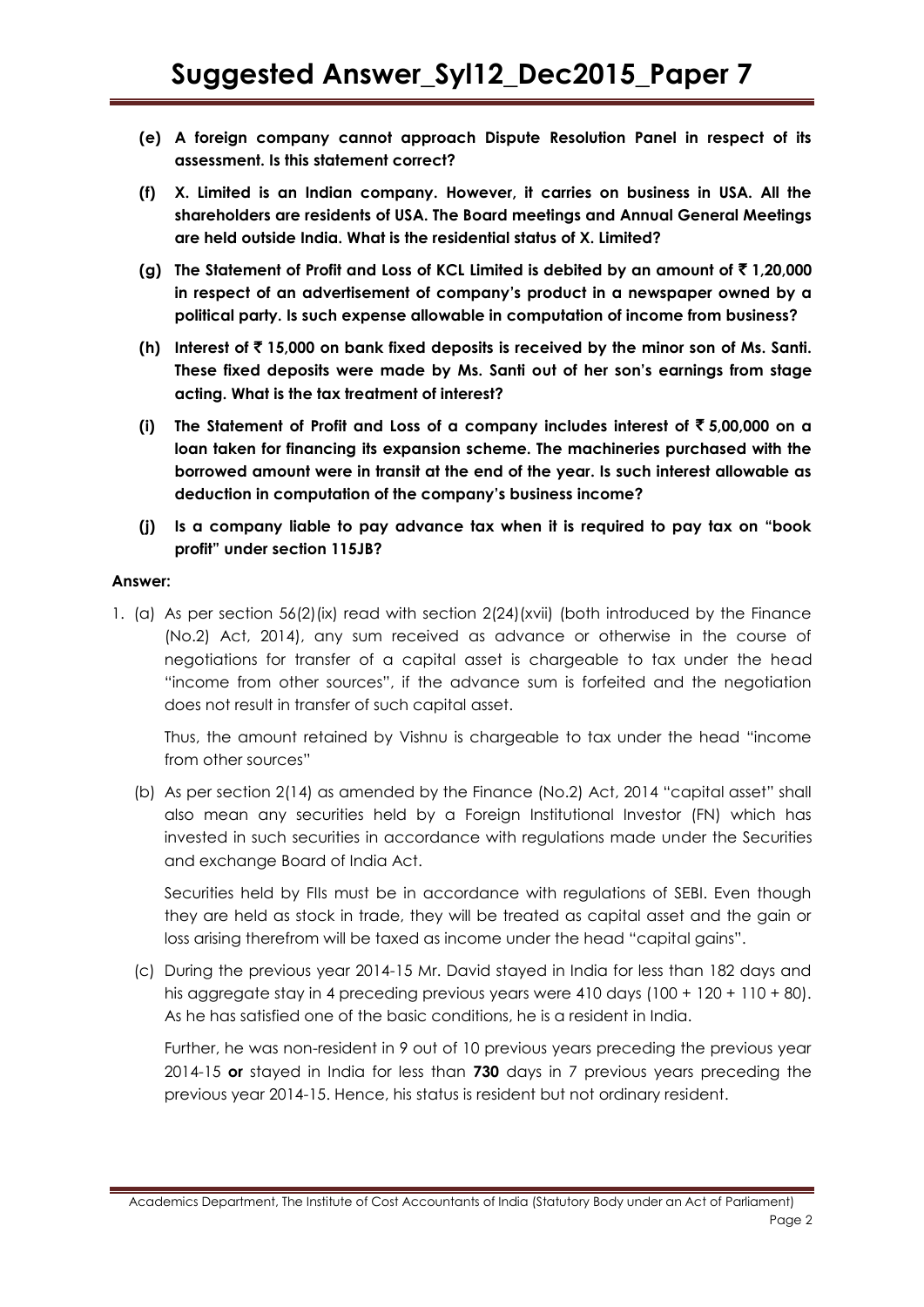- **(e) A foreign company cannot approach Dispute Resolution Panel in respect of its assessment. Is this statement correct?**
- **(f) X. Limited is an Indian company. However, it carries on business in USA. All the shareholders are residents of USA. The Board meetings and Annual General Meetings are held outside India. What is the residential status of X. Limited?**
- **(g) The Statement of Profit and Loss of KCL Limited is debited by an amount of** ` **1,20,000 in respect of an advertisement of company"s product in a newspaper owned by a political party. Is such expense allowable in computation of income from business?**
- **(h) Interest of** ` **15,000 on bank fixed deposits is received by the minor son of Ms. Santi. These fixed deposits were made by Ms. Santi out of her son"s earnings from stage acting. What is the tax treatment of interest?**
- **(i)** The Statement of Profit and Loss of a company includes interest of  $\bar{\tau}$  5,00,000 on a **loan taken for financing its expansion scheme. The machineries purchased with the borrowed amount were in transit at the end of the year. Is such interest allowable as deduction in computation of the company"s business income?**
- **(j) Is a company liable to pay advance tax when it is required to pay tax on "book profit" under section 115JB?**

### **Answer:**

1. (a) As per section 56(2)(ix) read with section 2(24)(xvii) (both introduced by the Finance (No.2) Act, 2014), any sum received as advance or otherwise in the course of negotiations for transfer of a capital asset is chargeable to tax under the head "income from other sources", if the advance sum is forfeited and the negotiation does not result in transfer of such capital asset.

Thus, the amount retained by Vishnu is chargeable to tax under the head "income" from other sources"

(b) As per section 2(14) as amended by the Finance (No.2) Act, 2014 "capital asset" shall also mean any securities held by a Foreign Institutional Investor (FN) which has invested in such securities in accordance with regulations made under the Securities and exchange Board of India Act.

Securities held by FIIs must be in accordance with regulations of SEBI. Even though they are held as stock in trade, they will be treated as capital asset and the gain or loss arising therefrom will be taxed as income under the head "capital gains".

(c) During the previous year 2014-15 Mr. David stayed in India for less than 182 days and his aggregate stay in 4 preceding previous years were 410 days (100 + 120 + 110 + 80). As he has satisfied one of the basic conditions, he is a resident in India.

Further, he was non-resident in 9 out of 10 previous years preceding the previous year 2014-15 **or** stayed in India for less than **730** days in 7 previous years preceding the previous year 2014-15. Hence, his status is resident but not ordinary resident.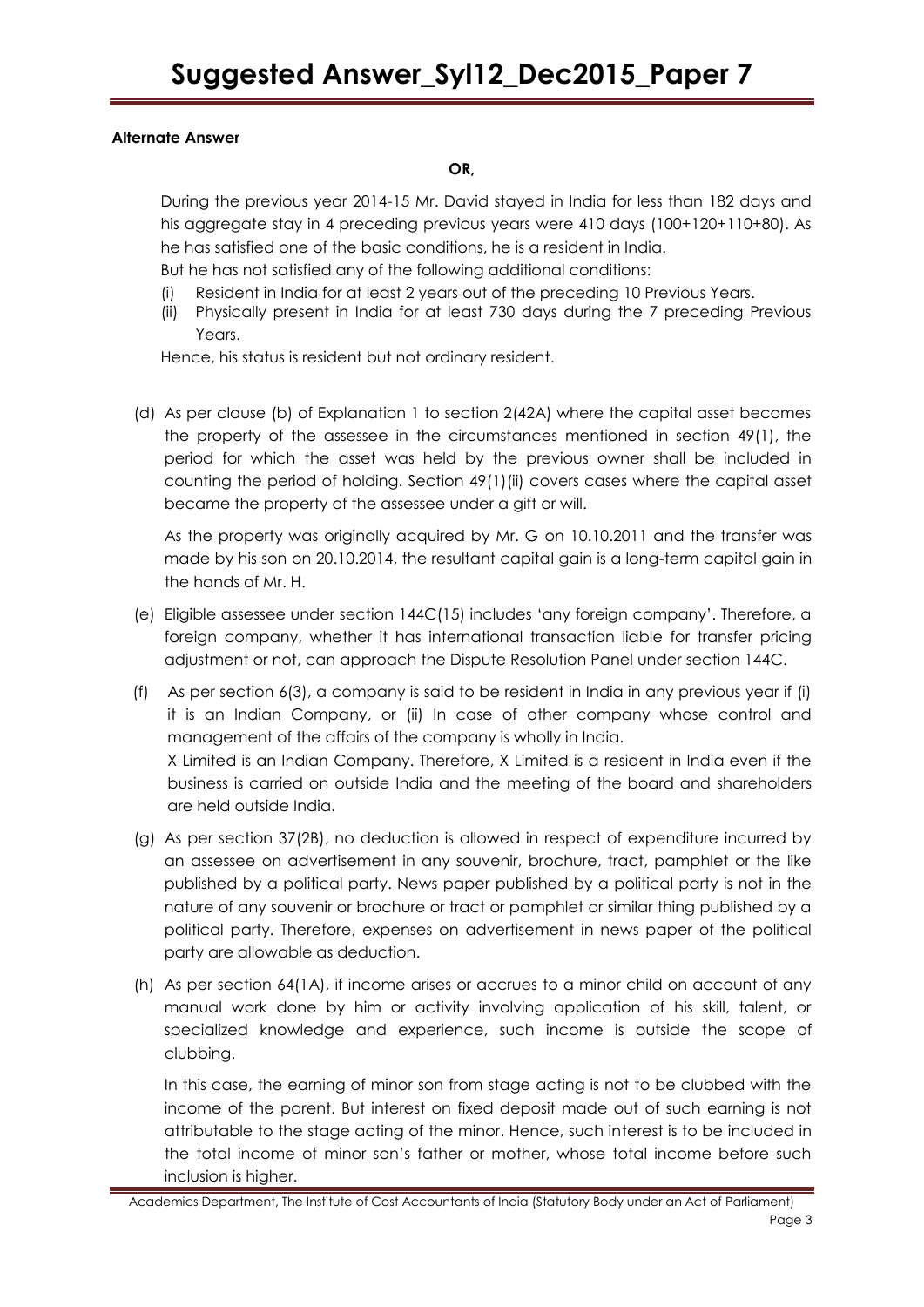# **Alternate Answer**

### **OR,**

During the previous year 2014-15 Mr. David stayed in India for less than 182 days and his aggregate stay in 4 preceding previous years were 410 days (100+120+110+80). As he has satisfied one of the basic conditions, he is a resident in India.

But he has not satisfied any of the following additional conditions:

- (i) Resident in India for at least 2 years out of the preceding 10 Previous Years.
- (ii) Physically present in India for at least 730 days during the 7 preceding Previous Years.

Hence, his status is resident but not ordinary resident.

(d) As per clause (b) of Explanation 1 to section 2(42A) where the capital asset becomes the property of the assessee in the circumstances mentioned in section 49(1), the period for which the asset was held by the previous owner shall be included in counting the period of holding. Section 49(1)(ii) covers cases where the capital asset became the property of the assessee under a gift or will.

As the property was originally acquired by Mr. G on 10.10.2011 and the transfer was made by his son on 20.10.2014, the resultant capital gain is a long-term capital gain in the hands of Mr. H.

- (e) Eligible assessee under section 144C(15) includes 'any foreign company'. Therefore, a foreign company, whether it has international transaction liable for transfer pricing adjustment or not, can approach the Dispute Resolution Panel under section 144C.
- (f) As per section 6(3), a company is said to be resident in India in any previous year if (i) it is an Indian Company, or (ii) In case of other company whose control and management of the affairs of the company is wholly in India. X Limited is an Indian Company. Therefore, X Limited is a resident in India even if the business is carried on outside India and the meeting of the board and shareholders are held outside India.
- (g) As per section 37(2B), no deduction is allowed in respect of expenditure incurred by an assessee on advertisement in any souvenir, brochure, tract, pamphlet or the like published by a political party. News paper published by a political party is not in the nature of any souvenir or brochure or tract or pamphlet or similar thing published by a political party. Therefore, expenses on advertisement in news paper of the political party are allowable as deduction.
- (h) As per section 64(1A), if income arises or accrues to a minor child on account of any manual work done by him or activity involving application of his skill, talent, or specialized knowledge and experience, such income is outside the scope of clubbing.

In this case, the earning of minor son from stage acting is not to be clubbed with the income of the parent. But interest on fixed deposit made out of such earning is not attributable to the stage acting of the minor. Hence, such interest is to be included in the total income of minor son's father or mother, whose total income before such inclusion is higher.

Academics Department, The Institute of Cost Accountants of India (Statutory Body under an Act of Parliament) Page 3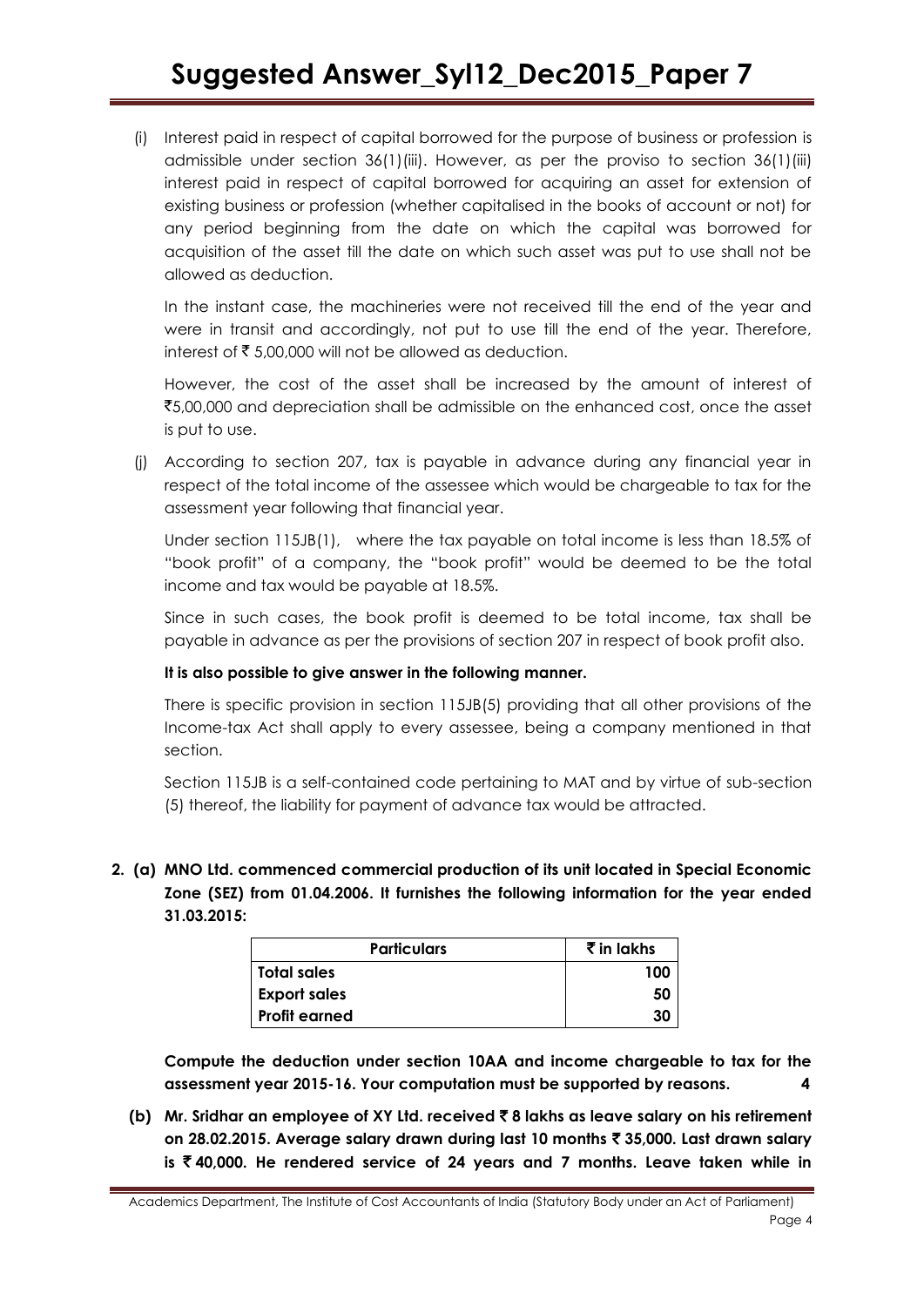(i) Interest paid in respect of capital borrowed for the purpose of business or profession is admissible under section 36(1)(iii). However, as per the proviso to section 36(1)(iii) interest paid in respect of capital borrowed for acquiring an asset for extension of existing business or profession (whether capitalised in the books of account or not) for any period beginning from the date on which the capital was borrowed for acquisition of the asset till the date on which such asset was put to use shall not be allowed as deduction.

In the instant case, the machineries were not received till the end of the year and were in transit and accordingly, not put to use till the end of the year. Therefore, interest of  $\bar{\bar{\xi}}$  5,00,000 will not be allowed as deduction.

However, the cost of the asset shall be increased by the amount of interest of `5,00,000 and depreciation shall be admissible on the enhanced cost, once the asset is put to use.

(j) According to section 207, tax is payable in advance during any financial year in respect of the total income of the assessee which would be chargeable to tax for the assessment year following that financial year.

Under section 115JB(1), where the tax payable on total income is less than 18.5% of "book profit" of a company, the "book profit" would be deemed to be the total income and tax would be payable at 18.5%.

Since in such cases, the book profit is deemed to be total income, tax shall be payable in advance as per the provisions of section 207 in respect of book profit also.

### **It is also possible to give answer in the following manner.**

There is specific provision in section 115JB(5) providing that all other provisions of the Income-tax Act shall apply to every assessee, being a company mentioned in that section.

Section 115JB is a self-contained code pertaining to MAT and by virtue of sub-section (5) thereof, the liability for payment of advance tax would be attracted.

**2. (a) MNO Ltd. commenced commercial production of its unit located in Special Economic Zone (SEZ) from 01.04.2006. It furnishes the following information for the year ended 31.03.2015:**

| <b>Particulars</b>   | $\bar{\tau}$ in lakhs |
|----------------------|-----------------------|
| Total sales          | 100                   |
| <b>Export sales</b>  | 50                    |
| <b>Profit earned</b> | 30                    |

**Compute the deduction under section 10AA and income chargeable to tax for the assessment year 2015-16. Your computation must be supported by reasons. 4**

**(b) Mr. Sridhar an employee of XY Ltd. received** ` **8 lakhs as leave salary on his retirement on 28.02.2015. Average salary drawn during last 10 months** ` **35,000. Last drawn salary is** ` **40,000. He rendered service of 24 years and 7 months. Leave taken while in**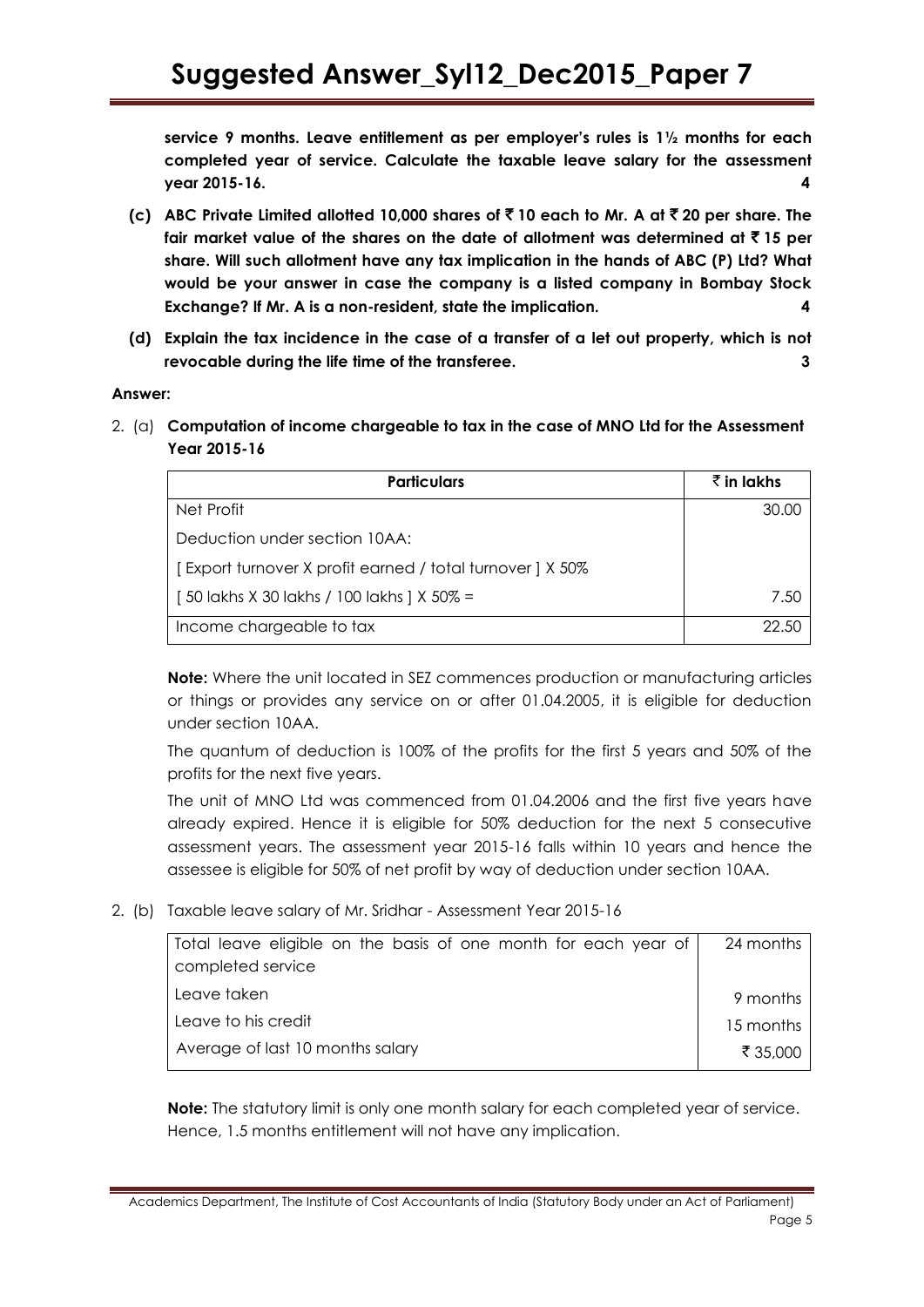**service 9 months. Leave entitlement as per employer"s rules is 1½ months for each completed year of service. Calculate the taxable leave salary for the assessment year 2015-16. 4**

- **(c) ABC Private Limited allotted 10,000 shares of** ` **10 each to Mr. A at** ` **20 per share. The fair market value of the shares on the date of allotment was determined at** ` **15 per share. Will such allotment have any tax implication in the hands of ABC (P) Ltd? What would be your answer in case the company is a listed company in Bombay Stock Exchange? If Mr. A is a non-resident, state the implication. 4**
- **(d) Explain the tax incidence in the case of a transfer of a let out property, which is not revocable during the life time of the transferee. 3**

### **Answer:**

2. (a) **Computation of income chargeable to tax in the case of MNO Ltd for the Assessment Year 2015-16**

| <b>Particulars</b>                                        | र्रै in lakhs |
|-----------------------------------------------------------|---------------|
| Net Profit                                                | 30.00         |
| Deduction under section 10AA:                             |               |
| [Export turnover X profit earned / total turnover ] X 50% |               |
| [50 lakhs X 30 lakhs / 100 lakhs ] X 50% =                | 7.50          |
| Income chargeable to tax                                  | 22.50         |

**Note:** Where the unit located in SEZ commences production or manufacturing articles or things or provides any service on or after 01.04.2005, it is eligible for deduction under section 10AA.

The quantum of deduction is 100% of the profits for the first 5 years and 50% of the profits for the next five years.

The unit of MNO Ltd was commenced from 01.04.2006 and the first five years have already expired. Hence it is eligible for 50% deduction for the next 5 consecutive assessment years. The assessment year 2015-16 falls within 10 years and hence the assessee is eligible for 50% of net profit by way of deduction under section 10AA.

2. (b) Taxable leave salary of Mr. Sridhar - Assessment Year 2015-16

| Total leave eligible on the basis of one month for each year of | 24 months |
|-----------------------------------------------------------------|-----------|
| completed service                                               |           |
| Leave taken                                                     | 9 months  |
| Leave to his credit                                             | 15 months |
| Average of last 10 months salary                                | ₹ 35,000  |
|                                                                 |           |

**Note:** The statutory limit is only one month salary for each completed year of service. Hence, 1.5 months entitlement will not have any implication.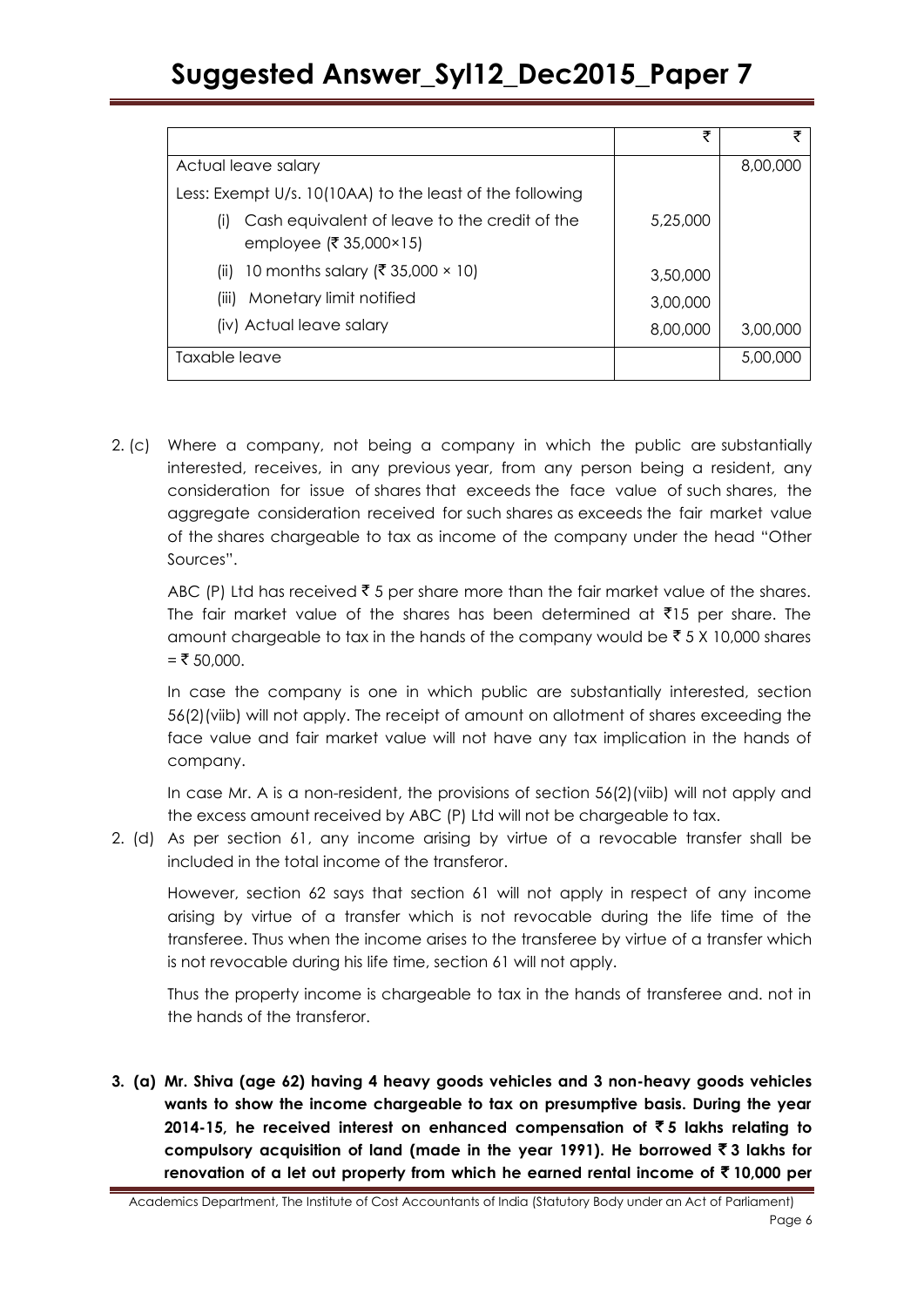|                                                                                | ₹        |          |
|--------------------------------------------------------------------------------|----------|----------|
| Actual leave salary                                                            |          | 8,00,000 |
| Less: Exempt U/s. 10(10AA) to the least of the following                       |          |          |
| Cash equivalent of leave to the credit of the<br>(1)<br>employee (₹ 35,000×15) | 5,25,000 |          |
| 10 months salary (₹ 35,000 × 10)<br>(ii)                                       | 3,50,000 |          |
| Monetary limit notified<br>(iii)                                               | 3,00,000 |          |
| (iv) Actual leave salary                                                       | 8,00,000 | 3,00,000 |
| Taxable leave                                                                  |          | 5,00,000 |

2. (c) Where a company, not being a company in which the public are substantially interested, receives, in any previous year, from any person being a resident, any consideration for issue of shares that exceeds the face value of such shares, the aggregate consideration received for such shares as exceeds the fair market value of the shares chargeable to tax as income of the company under the head "Other Sources‖.

ABC (P) Ltd has received  $\bar{z}$  5 per share more than the fair market value of the shares. The fair market value of the shares has been determined at  $\bar{\tau}$ 15 per share. The amount chargeable to tax in the hands of the company would be  $\bar{z}$  5 X 10,000 shares  $=$  ₹ 50,000.

In case the company is one in which public are substantially interested, section 56(2)(viib) will not apply. The receipt of amount on allotment of shares exceeding the face value and fair market value will not have any tax implication in the hands of company.

In case Mr. A is a non-resident, the provisions of section 56(2)(viib) will not apply and the excess amount received by ABC (P) Ltd will not be chargeable to tax.

2. (d) As per section 61, any income arising by virtue of a revocable transfer shall be included in the total income of the transferor.

However, section 62 says that section 61 will not apply in respect of any income arising by virtue of a transfer which is not revocable during the life time of the transferee. Thus when the income arises to the transferee by virtue of a transfer which is not revocable during his life time, section 61 will not apply.

Thus the property income is chargeable to tax in the hands of transferee and. not in the hands of the transferor.

**3. (a) Mr. Shiva (age 62) having 4 heavy goods vehicles and 3 non-heavy goods vehicles wants to show the income chargeable to tax on presumptive basis. During the year 2014-15, he received interest on enhanced compensation of**  $\bar{\tau}$  **5 lakhs relating to compulsory acquisition of land (made in the year 1991). He borrowed** ` **3 lakhs for renovation of a let out property from which he earned rental income of** ` **10,000 per**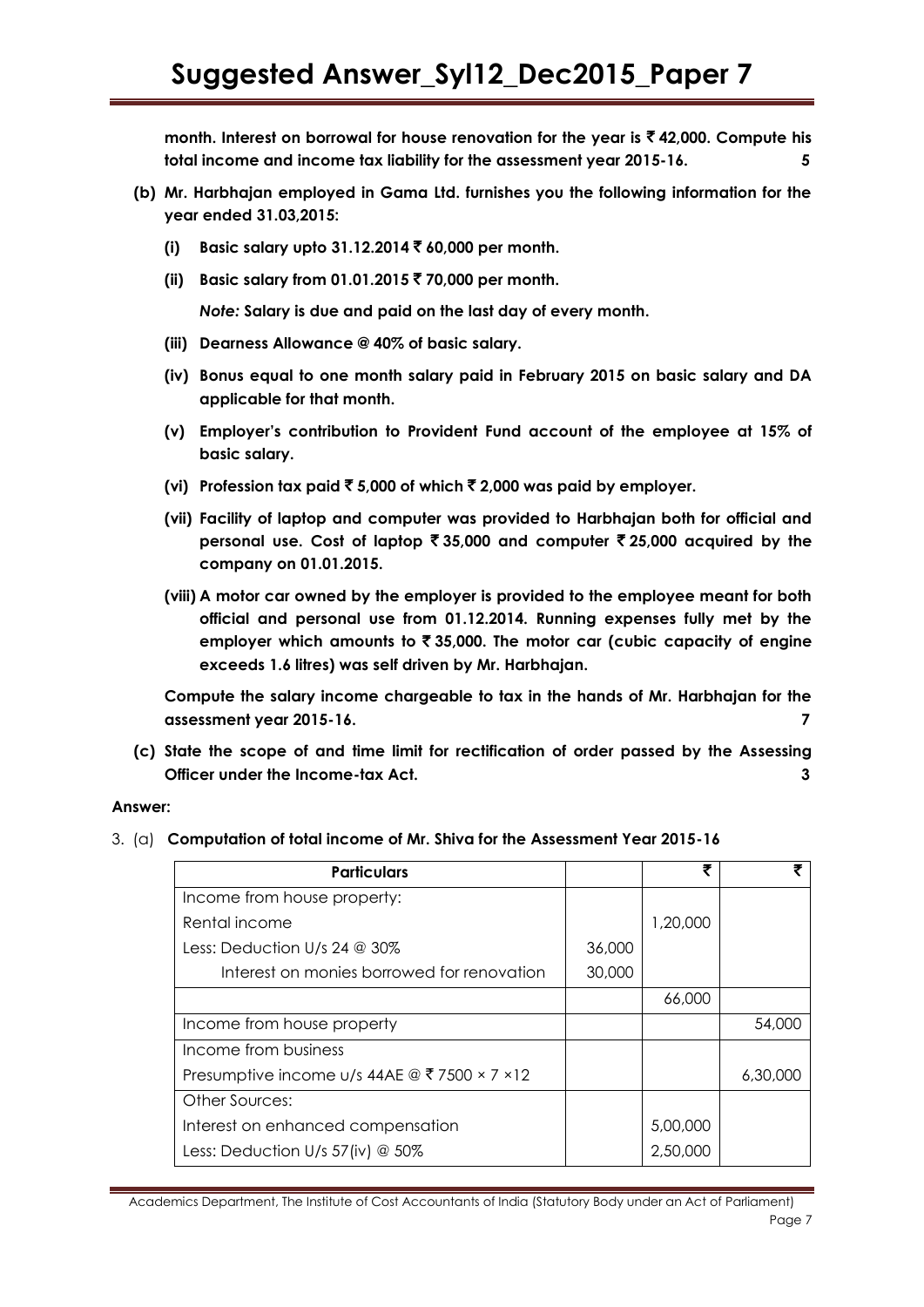**month. Interest on borrowal for house renovation for the year is** ` **42,000. Compute his total income and income tax liability for the assessment year 2015-16. 5**

- **(b) Mr. Harbhajan employed in Gama Ltd. furnishes you the following information for the year ended 31.03,2015:**
	- **(i) Basic salary upto 31.12.2014** ` **60,000 per month.**
	- **(ii) Basic salary from 01.01.2015** ` **70,000 per month.**

*Note:* **Salary is due and paid on the last day of every month.**

- **(iii) Dearness Allowance @ 40% of basic salary.**
- **(iv) Bonus equal to one month salary paid in February 2015 on basic salary and DA applicable for that month.**
- **(v) Employer"s contribution to Provident Fund account of the employee at 15% of basic salary.**
- **(vi) Profession tax paid** ` **5,000 of which** ` **2,000 was paid by employer.**
- **(vii) Facility of laptop and computer was provided to Harbhajan both for official and personal use. Cost of laptop** ` **35,000 and computer** ` **25,000 acquired by the company on 01.01.2015.**
- **(viii) A motor car owned by the employer is provided to the employee meant for both official and personal use from 01.12.2014. Running expenses fully met by the employer which amounts to** ` **35,000. The motor car (cubic capacity of engine exceeds 1.6 litres) was self driven by Mr. Harbhajan.**

**Compute the salary income chargeable to tax in the hands of Mr. Harbhajan for the assessment year 2015-16. 7**

**(c) State the scope of and time limit for rectification of order passed by the Assessing Officer under the Income-tax Act. 3**

### **Answer:**

3. (a) **Computation of total income of Mr. Shiva for the Assessment Year 2015-16**

| <b>Particulars</b>                            |        | ₹        |          |
|-----------------------------------------------|--------|----------|----------|
| Income from house property:                   |        |          |          |
| Rental income                                 |        | 1,20,000 |          |
| Less: Deduction U/s 24 $@$ 30%                | 36,000 |          |          |
| Interest on monies borrowed for renovation    | 30,000 |          |          |
|                                               |        | 66,000   |          |
| Income from house property                    |        |          | 54,000   |
| Income from business                          |        |          |          |
| Presumptive income u/s 44AE @ ₹ 7500 × 7 × 12 |        |          | 6,30,000 |
| Other Sources:                                |        |          |          |
| Interest on enhanced compensation             |        | 5,00,000 |          |
| Less: Deduction U/s $57$ (iv) @ $50\%$        |        | 2,50,000 |          |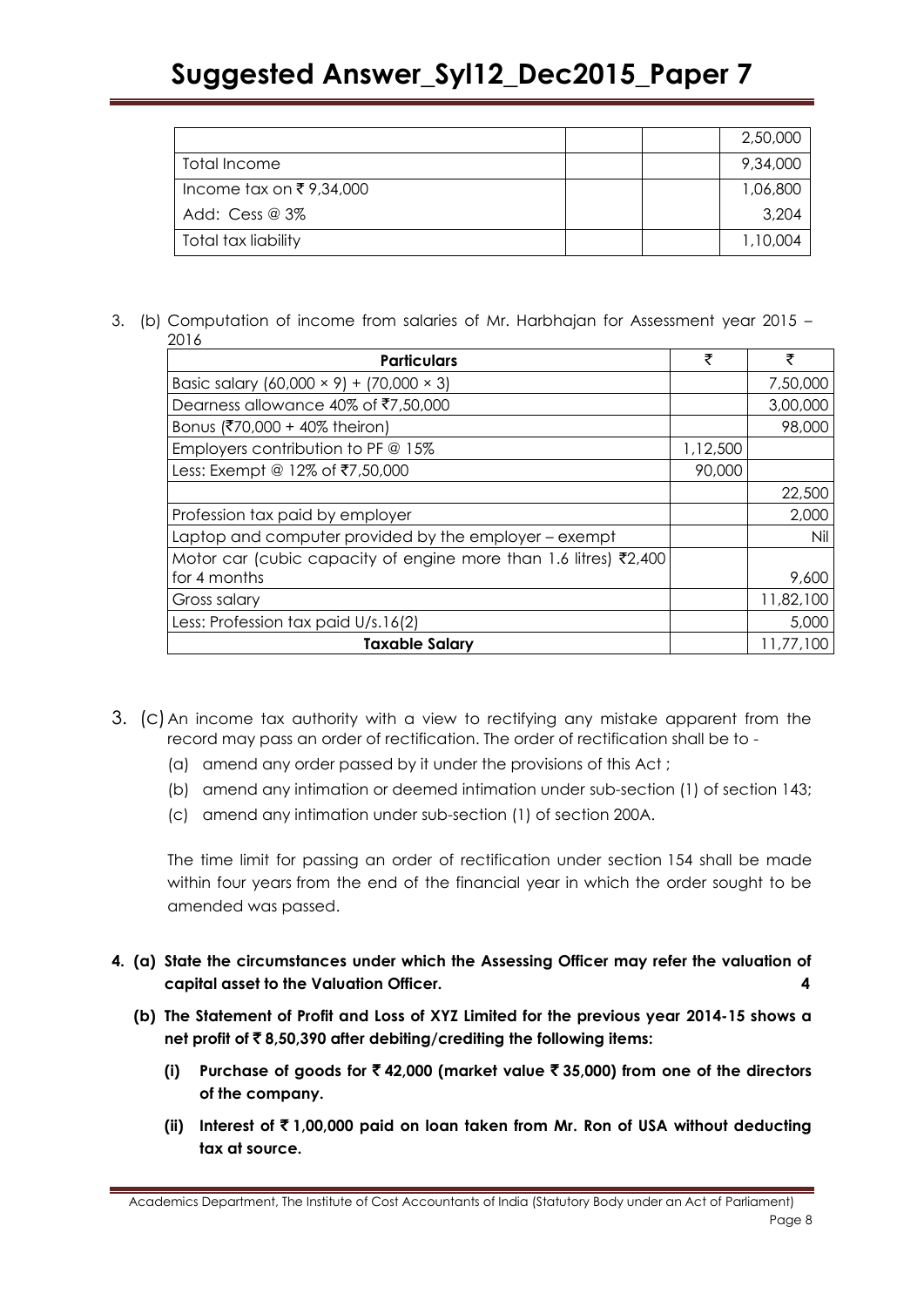|                         | 2,50,000 |
|-------------------------|----------|
| Total Income            | 9,34,000 |
| Income tax on ₹9,34,000 | 1,06,800 |
| Add: $Cess @ 3\%$       | 3,204    |
| Total tax liability     | 1,10,004 |

3. (b) Computation of income from salaries of Mr. Harbhajan for Assessment year 2015 – 2016

| <b>Particulars</b>                                               | ₹        | ₹         |
|------------------------------------------------------------------|----------|-----------|
| Basic salary $(60,000 \times 9) + (70,000 \times 3)$             |          | 7,50,000  |
| Dearness allowance 40% of ₹7,50,000                              |          | 3,00,000  |
| Bonus (₹70,000 + 40% theiron)                                    |          | 98,000    |
| Employers contribution to PF $@$ 15%                             | 1,12,500 |           |
| Less: Exempt @ 12% of ₹7,50,000                                  | 90,000   |           |
|                                                                  |          | 22,500    |
| Profession tax paid by employer                                  |          | 2,000     |
| Laptop and computer provided by the employer - exempt            |          | Nil       |
| Motor car (cubic capacity of engine more than 1.6 litres) ₹2,400 |          |           |
| for 4 months                                                     |          | 9,600     |
| Gross salary                                                     |          | 11,82,100 |
| Less: Profession tax paid U/s.16(2)                              |          | 5,000     |
| <b>Taxable Salary</b>                                            |          | 11,77,100 |

- 3. (c)An income tax authority with a view to rectifying any mistake apparent from the record may pass an order of rectification. The order of rectification shall be to -
	- (a) amend any order passed by it under the provisions of this Act ;
	- (b) amend any intimation or deemed intimation under sub-section (1) of [section 143;](javascript:ShowMainContent()
	- (c) amend any intimation under sub-section (1) of [section 200A.](javascript:ShowMainContent()

The time limit for passing an order of rectification under section 154 shall be made within four years from the end of the financial year in which the order sought to be amended was passed.

- **4. (a) State the circumstances under which the Assessing Officer may refer the valuation of capital asset to the Valuation Officer. 4**
	- **(b) The Statement of Profit and Loss of XYZ Limited for the previous year 2014-15 shows a net profit of** ` **8,50,390 after debiting/crediting the following items:**
		- **(i) Purchase of goods for** ` **42,000 (market value** ` **35,000) from one of the directors of the company.**
		- **(ii) Interest of** ` **1,00,000 paid on loan taken from Mr. Ron of USA without deducting tax at source.**

Academics Department, The Institute of Cost Accountants of India (Statutory Body under an Act of Parliament) Page 8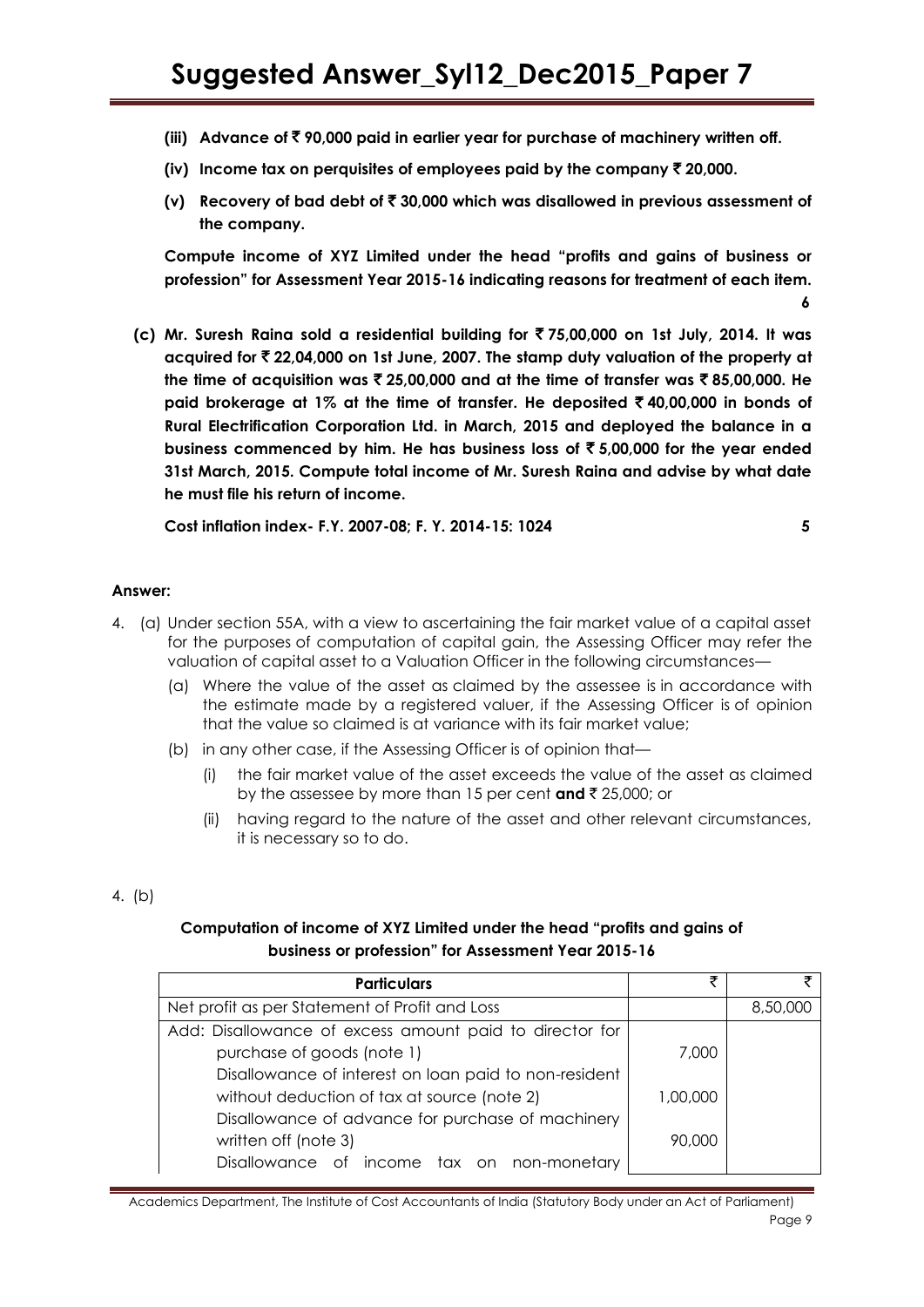- **(iii) Advance of** ` **90,000 paid in earlier year for purchase of machinery written off.**
- **(iv)** Income tax on perquisites of employees paid by the company  $\bar{\tau}$  20,000.
- **(v) Recovery of bad debt of** ` **30,000 which was disallowed in previous assessment of the company.**

**Compute income of XYZ Limited under the head "profits and gains of business or profession" for Assessment Year 2015-16 indicating reasons for treatment of each item. 6**

**(c) Mr. Suresh Raina sold a residential building for** ` **75,00,000 on 1st July, 2014. It was acquired for** ` **22,04,000 on 1st June, 2007. The stamp duty valuation of the property at**  the time of acquisition was  $\bar{\tau}$  25,00,000 and at the time of transfer was  $\bar{\tau}$  85,00,000. He **paid brokerage at 1% at the time of transfer. He deposited** ` **40,00,000 in bonds of Rural Electrification Corporation Ltd. in March, 2015 and deployed the balance in a business commenced by him. He has business loss of** ` **5,00,000 for the year ended 31st March, 2015. Compute total income of Mr. Suresh Raina and advise by what date he must file his return of income.**

**Cost inflation index- F.Y. 2007-08; F. Y. 2014-15: 1024 5**

#### **Answer:**

- 4. (a) Under section 55A, with a view to ascertaining the fair market value of a capital asset for the purposes of computation of capital gain, the Assessing Officer may refer the valuation of capital asset to a Valuation Officer in the following circumstances—
	- (a) Where the value of the asset as claimed by the assessee is in accordance with the estimate made by a registered valuer, if the Assessing Officer is of opinion that the value so claimed is at variance with its fair market value;
	- (b) in any other case, if the Assessing Officer is of opinion that
		- the fair market value of the asset exceeds the value of the asset as claimed by the assessee by more than 15 per cent **and** ` 25,000; or
		- (ii) having regard to the nature of the asset and other relevant circumstances, it is necessary so to do.

### 4. (b)

### **Computation of income of XYZ Limited under the head "profits and gains of business or profession" for Assessment Year 2015-16**

| <b>Particulars</b>                                      | ₹        |          |
|---------------------------------------------------------|----------|----------|
| Net profit as per Statement of Profit and Loss          |          | 8,50,000 |
| Add: Disallowance of excess amount paid to director for |          |          |
| purchase of goods (note 1)                              | 7,000    |          |
| Disallowance of interest on loan paid to non-resident   |          |          |
| without deduction of tax at source (note 2)             | 1,00,000 |          |
| Disallowance of advance for purchase of machinery       |          |          |
| written off (note 3)                                    | 90,000   |          |
| Disallowance of income tax on non-monetary              |          |          |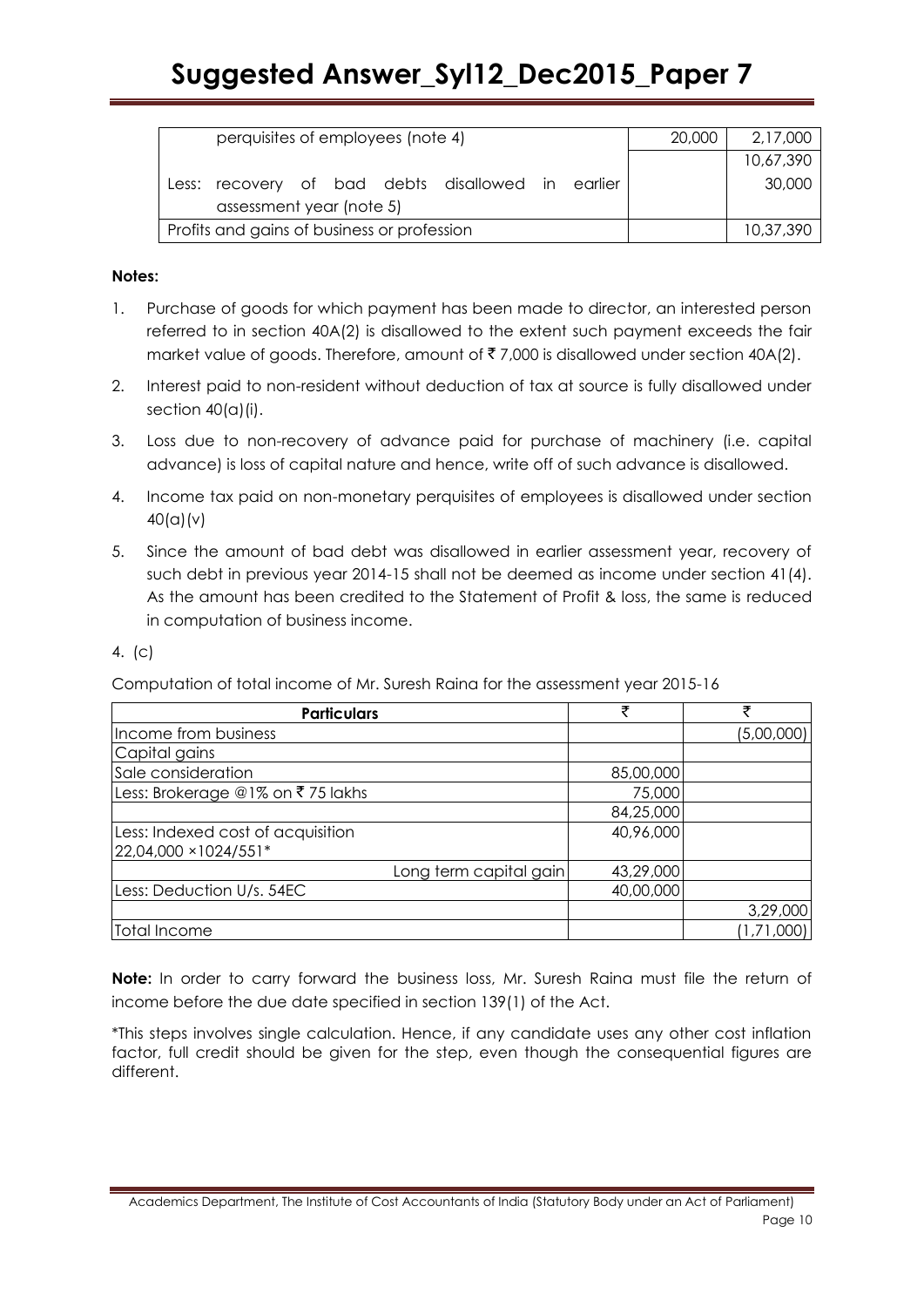| perquisites of employees (note 4)                 | 20,000 | 2,17,000  |
|---------------------------------------------------|--------|-----------|
|                                                   |        | 10,67,390 |
| Less: recovery of bad debts disallowed in earlier |        | 30,000    |
| assessment year (note 5)                          |        |           |
| Profits and gains of business or profession       |        | 10,37,390 |

# **Notes:**

- 1. Purchase of goods for which payment has been made to director, an interested person referred to in section 40A(2) is disallowed to the extent such payment exceeds the fair market value of goods. Therefore, amount of  $\bar{z}$  7,000 is disallowed under section 40A(2).
- 2. Interest paid to non-resident without deduction of tax at source is fully disallowed under section  $40(a)(i)$ .
- 3. Loss due to non-recovery of advance paid for purchase of machinery (i.e. capital advance) is loss of capital nature and hence, write off of such advance is disallowed.
- 4. Income tax paid on non-monetary perquisites of employees is disallowed under section 40(a)(v)
- 5. Since the amount of bad debt was disallowed in earlier assessment year, recovery of such debt in previous year 2014-15 shall not be deemed as income under section 41(4). As the amount has been credited to the Statement of Profit & loss, the same is reduced in computation of business income.
- 4. (c)

Computation of total income of Mr. Suresh Raina for the assessment year 2015-16

| <b>Particulars</b>                | ₹         | ₹          |
|-----------------------------------|-----------|------------|
| Income from business              |           | (5,00,000) |
| Capital gains                     |           |            |
| Sale consideration                | 85,00,000 |            |
| Less: Brokerage @1% on ₹75 lakhs  | 75,000    |            |
|                                   | 84,25,000 |            |
| Less: Indexed cost of acquisition | 40,96,000 |            |
| 22,04,000 × 1024/551*             |           |            |
| Long term capital gain            | 43,29,000 |            |
| Less: Deduction U/s. 54EC         | 40,00,000 |            |
|                                   |           | 3,29,000   |
| Total Income                      |           | (1,71,000) |

**Note:** In order to carry forward the business loss, Mr. Suresh Raina must file the return of income before the due date specified in section 139(1) of the Act.

\*This steps involves single calculation. Hence, if any candidate uses any other cost inflation factor, full credit should be given for the step, even though the consequential figures are different.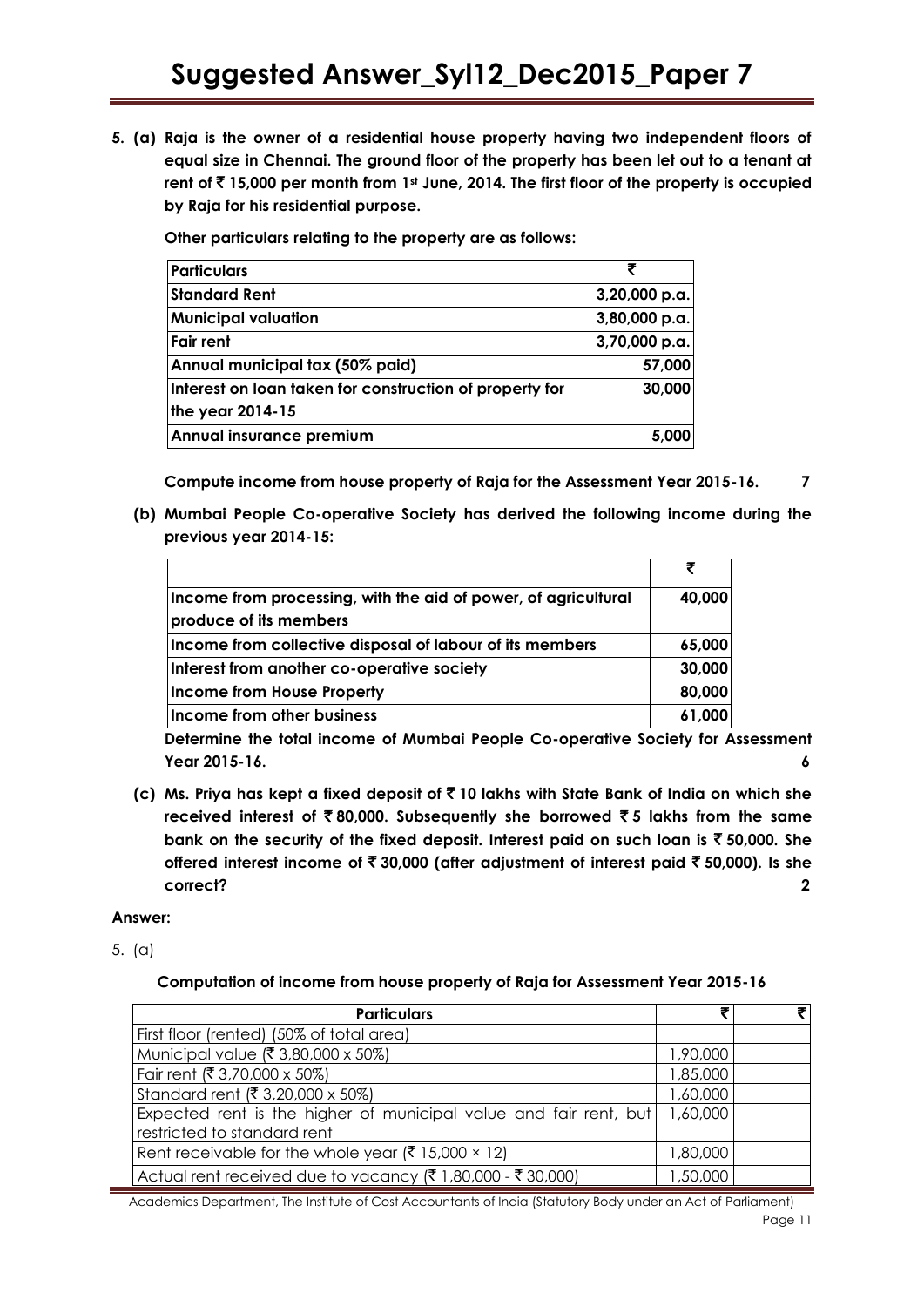**5. (a) Raja is the owner of a residential house property having two independent floors of equal size in Chennai. The ground floor of the property has been let out to a tenant at rent of** ` **15,000 per month from 1st June, 2014. The first floor of the property is occupied by Raja for his residential purpose.**

**Other particulars relating to the property are as follows:**

| <b>Particulars</b>                                      |               |
|---------------------------------------------------------|---------------|
| <b>Standard Rent</b>                                    | 3,20,000 p.a. |
| <b>Municipal valuation</b>                              | 3,80,000 p.a. |
| <b>Fair rent</b>                                        | 3,70,000 p.a. |
| Annual municipal tax (50% paid)                         | 57,000        |
| Interest on loan taken for construction of property for | 30,000        |
| the year 2014-15                                        |               |
| Annual insurance premium                                | 5,000         |

**Compute income from house property of Raja for the Assessment Year 2015-16. 7**

**(b) Mumbai People Co-operative Society has derived the following income during the previous year 2014-15:**

| Income from processing, with the aid of power, of agricultural<br>produce of its members | 40,000 |
|------------------------------------------------------------------------------------------|--------|
| Income from collective disposal of labour of its members                                 | 65,000 |
| Interest from another co-operative society                                               | 30,000 |
| Income from House Property                                                               | 80,000 |
| Income from other business                                                               | 61,000 |

**Determine the total income of Mumbai People Co-operative Society for Assessment Year 2015-16. 6**

**(c) Ms. Priya has kept a fixed deposit of** ` **10 lakhs with State Bank of India on which she received interest of** ` **80,000. Subsequently she borrowed** ` **5 lakhs from the same bank on the security of the fixed deposit. Interest paid on such loan is** ` **50,000. She offered interest income of** ` **30,000 (after adjustment of interest paid** ` **50,000). Is she correct? 2**

### **Answer:**

5. (a)

### **Computation of income from house property of Raja for Assessment Year 2015-16**

| <b>Particulars</b>                                                                               |          |  |
|--------------------------------------------------------------------------------------------------|----------|--|
| First floor (rented) (50% of total area)                                                         |          |  |
| Municipal value (₹ 3,80,000 x 50%)                                                               | 1,90,000 |  |
| Fair rent (₹ 3,70,000 x 50%)                                                                     | 1,85,000 |  |
| Standard rent (₹ 3,20,000 x 50%)                                                                 | 1,60,000 |  |
| Expected rent is the higher of municipal value and fair rent, but<br>restricted to standard rent | 1,60,000 |  |
| Rent receivable for the whole year ( $\bar{\xi}$ 15,000 × 12)                                    | 1,80,000 |  |
| Actual rent received due to vacancy (₹ 1,80,000 - ₹ 30,000)                                      | ,50,000  |  |

Academics Department, The Institute of Cost Accountants of India (Statutory Body under an Act of Parliament) Page 11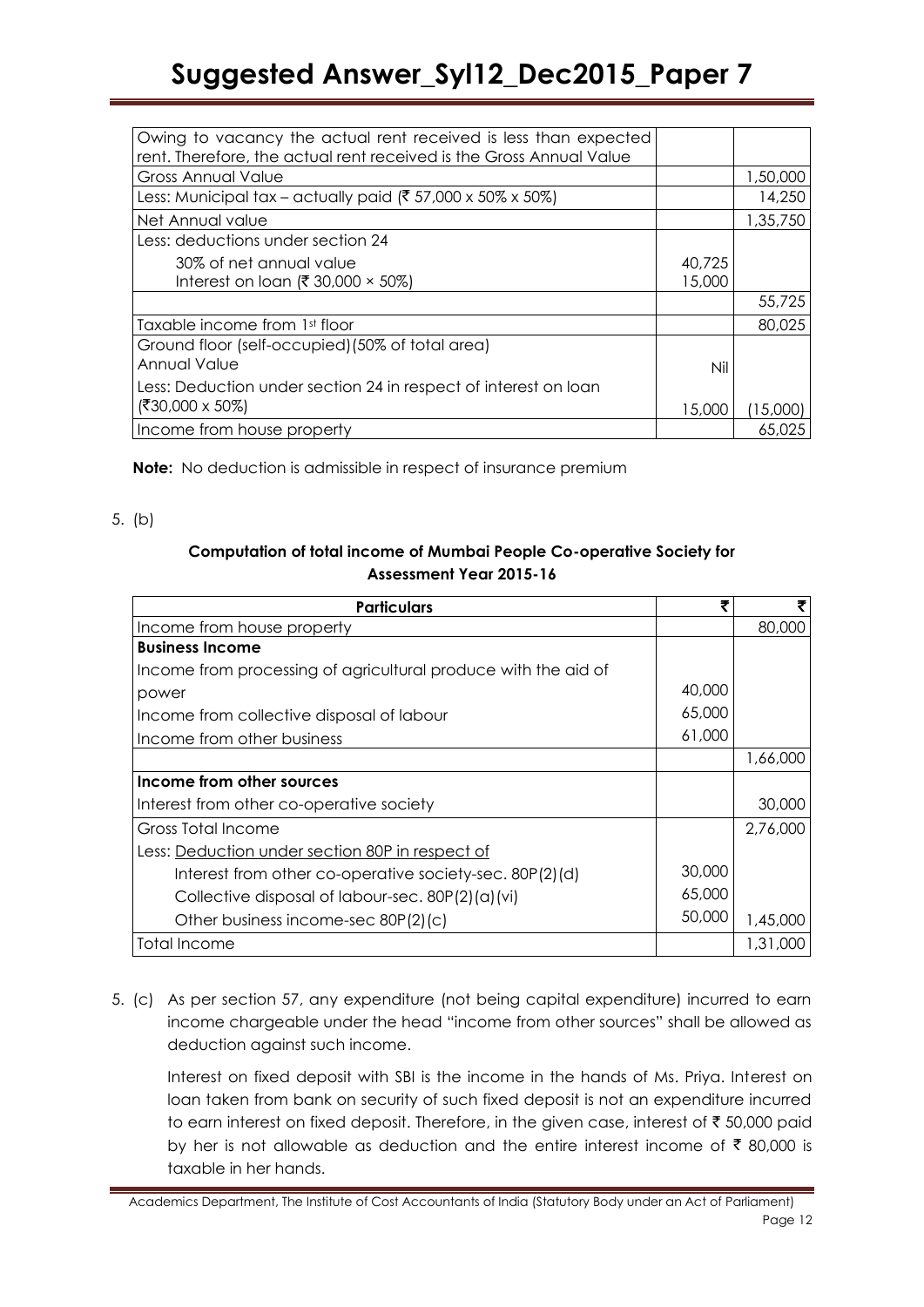| Owing to vacancy the actual rent received is less than expected       |        |          |
|-----------------------------------------------------------------------|--------|----------|
| rent. Therefore, the actual rent received is the Gross Annual Value   |        |          |
| <b>Gross Annual Value</b>                                             |        | 1,50,000 |
| Less: Municipal tax – actually paid ( $\bar{\xi}$ 57,000 x 50% x 50%) |        | 14,250   |
| Net Annual value                                                      |        | 1,35,750 |
| Less: deductions under section 24                                     |        |          |
| 30% of net annual value                                               | 40,725 |          |
| Interest on loan (₹ 30,000 $\times$ 50%)                              | 15,000 |          |
|                                                                       |        | 55,725   |
| Taxable income from 1st floor                                         |        | 80,025   |
| Ground floor (self-occupied) (50% of total area)                      |        |          |
| Annual Value                                                          | Nil    |          |
| Less: Deduction under section 24 in respect of interest on loan       |        |          |
| $( ₹30,000 \times 50%)$                                               | 15,000 | 15,000   |
| Income from house property                                            |        | 65.025   |

**Note:** No deduction is admissible in respect of insurance premium

### 5. (b)

# **Computation of total income of Mumbai People Co-operative Society for Assessment Year 2015-16**

| <b>Particulars</b>                                             | 3      | ₹        |
|----------------------------------------------------------------|--------|----------|
| Income from house property                                     |        | 80,000   |
| <b>Business Income</b>                                         |        |          |
| Income from processing of agricultural produce with the aid of |        |          |
| power                                                          | 40,000 |          |
| Income from collective disposal of labour                      | 65,000 |          |
| Income from other business                                     | 61,000 |          |
|                                                                |        | 1,66,000 |
| Income from other sources                                      |        |          |
| Interest from other co-operative society                       |        | 30,000   |
| Gross Total Income                                             |        | 2,76,000 |
| Less: Deduction under section 80P in respect of                |        |          |
| Interest from other co-operative society-sec. 80P(2)(d)        | 30,000 |          |
| Collective disposal of labour-sec. 80P(2)(a)(vi)               | 65,000 |          |
| Other business income-sec 80P(2)(c)                            | 50,000 | 1,45,000 |
| Total Income                                                   |        | 1,31,000 |

5. (c) As per section 57, any expenditure (not being capital expenditure) incurred to earn income chargeable under the head "income from other sources" shall be allowed as deduction against such income.

Interest on fixed deposit with SBI is the income in the hands of Ms. Priya. Interest on loan taken from bank on security of such fixed deposit is not an expenditure incurred to earn interest on fixed deposit. Therefore, in the given case, interest of  $\bar{\tau}$  50,000 paid by her is not allowable as deduction and the entire interest income of  $\bar{\tau}$  80,000 is taxable in her hands.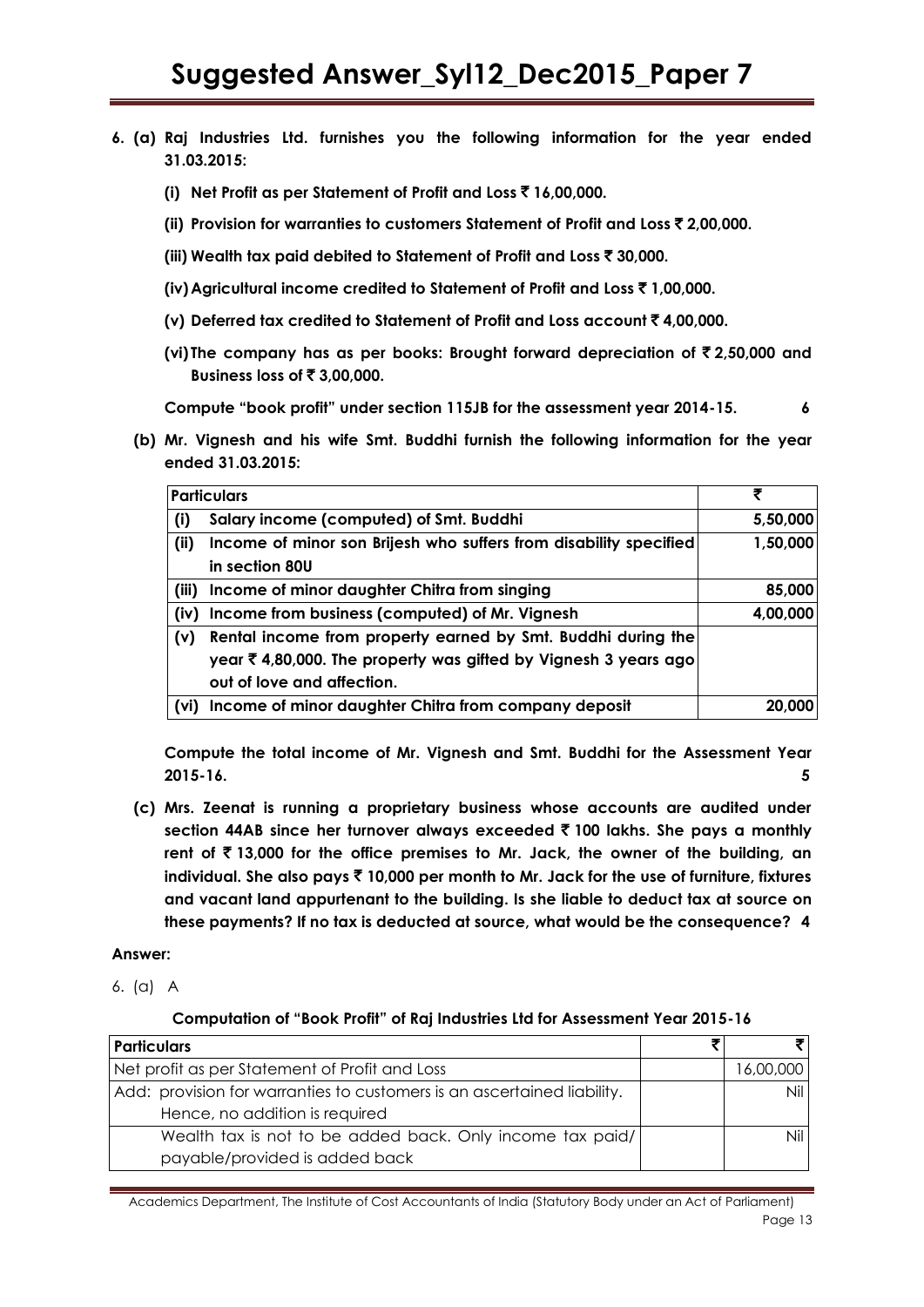- **6. (a) Raj Industries Ltd. furnishes you the following information for the year ended 31.03.2015:**
	- **(i) Net Profit as per Statement of Profit and Loss** ` **16,00,000.**
	- **(ii) Provision for warranties to customers Statement of Profit and Loss** ` **2,00,000.**
	- **(iii) Wealth tax paid debited to Statement of Profit and Loss** ` **30,000.**
	- **(iv) Agricultural income credited to Statement of Profit and Loss** ` **1,00,000.**
	- **(v) Deferred tax credited to Statement of Profit and Loss account** ` **4,00,000.**
	- **(vi) The company has as per books: Brought forward depreciation of** ` **2,50,000 and Business loss of** ` **3,00,000.**

**Compute "book profit" under section 115JB for the assessment year 2014-15. 6**

**(b) Mr. Vignesh and his wife Smt. Buddhi furnish the following information for the year ended 31.03.2015:**

|       | <b>Particulars</b>                                                |          |
|-------|-------------------------------------------------------------------|----------|
| (i)   | Salary income (computed) of Smt. Buddhi                           | 5,50,000 |
| (ii)  | Income of minor son Brijesh who suffers from disability specified | 1,50,000 |
|       | in section 80U                                                    |          |
| (iii) | Income of minor daughter Chitra from singing                      | 85,000   |
| (iv)  | Income from business (computed) of Mr. Vignesh                    | 4,00,000 |
| (v)   | Rental income from property earned by Smt. Buddhi during the      |          |
|       | year ₹ 4,80,000. The property was gifted by Vignesh 3 years ago   |          |
|       | out of love and affection.                                        |          |
| (vi)  | Income of minor daughter Chitra from company deposit              | 20,000   |

**Compute the total income of Mr. Vignesh and Smt. Buddhi for the Assessment Year 2015-16. 5**

**(c) Mrs. Zeenat is running a proprietary business whose accounts are audited under section 44AB since her turnover always exceeded** ` **100 lakhs. She pays a monthly rent of** ` **13,000 for the office premises to Mr. Jack, the owner of the building, an individual. She also pays** ` **10,000 per month to Mr. Jack for the use of furniture, fixtures and vacant land appurtenant to the building. Is she liable to deduct tax at source on these payments? If no tax is deducted at source, what would be the consequence? 4**

### **Answer:**

6. (a) A

### **Computation of "Book Profit" of Raj Industries Ltd for Assessment Year 2015-16**

| <b>Particulars</b>                                                      |          |
|-------------------------------------------------------------------------|----------|
| Net profit as per Statement of Profit and Loss                          | 6,00,000 |
| Add: provision for warranties to customers is an ascertained liability. | Nil      |
| Hence, no addition is required                                          |          |
| Wealth tax is not to be added back. Only income tax paid/               |          |
| payable/provided is added back                                          |          |

Academics Department, The Institute of Cost Accountants of India (Statutory Body under an Act of Parliament) Page 13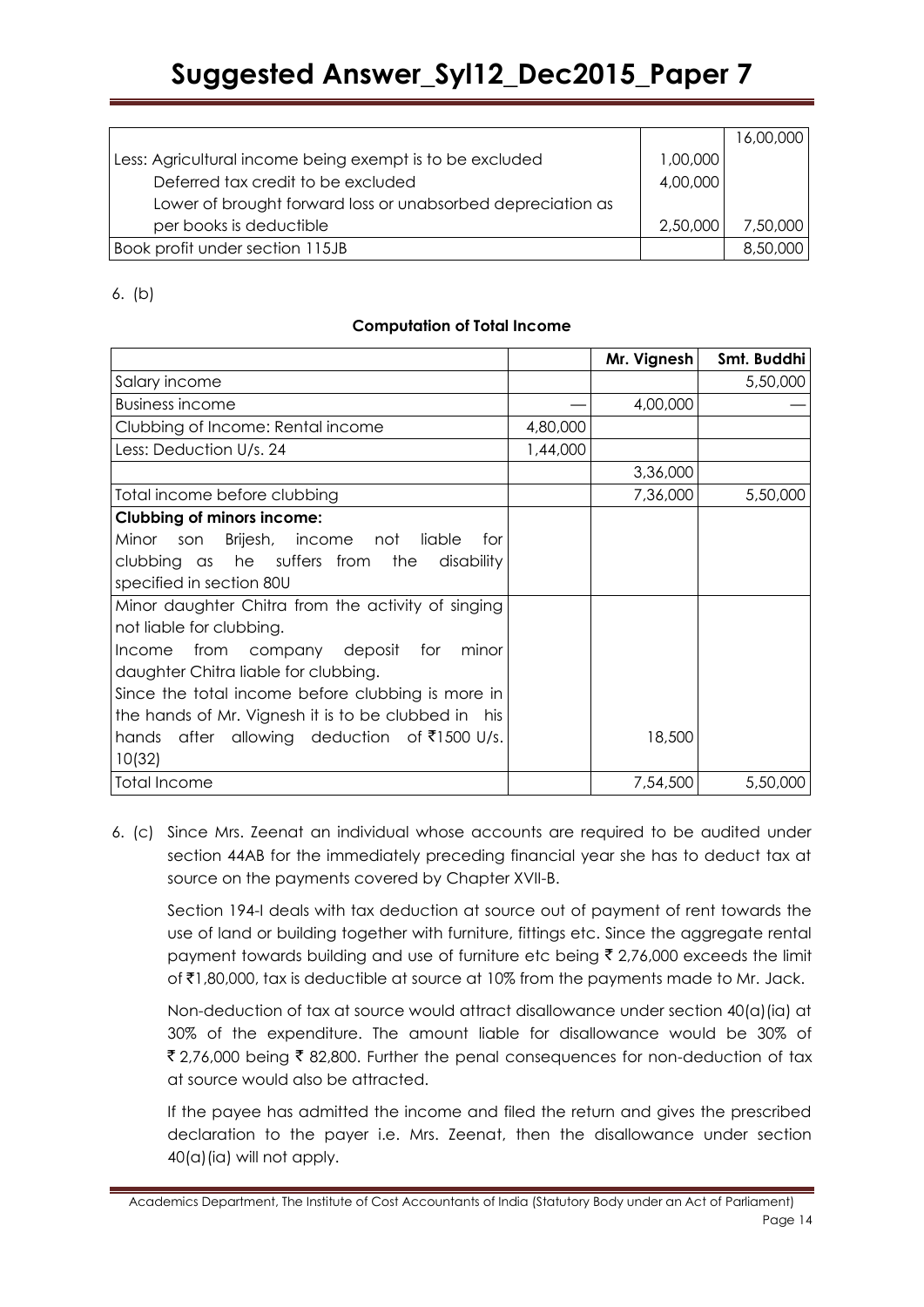|                                                             |          | 16,00,000 |
|-------------------------------------------------------------|----------|-----------|
| Less: Agricultural income being exempt is to be excluded    | 1,00,000 |           |
| Deferred tax credit to be excluded                          | 4,00,000 |           |
| Lower of brought forward loss or unabsorbed depreciation as |          |           |
| per books is deductible                                     | 2,50,000 | 7,50,000  |
| Book profit under section 115JB                             |          | 8,50,000  |

6. (b)

# **Computation of Total Income**

|                                                     |          | Mr. Vignesh | Smt. Buddhi |
|-----------------------------------------------------|----------|-------------|-------------|
| Salary income                                       |          |             | 5,50,000    |
| Business income                                     |          | 4,00,000    |             |
| Clubbing of Income: Rental income                   | 4,80,000 |             |             |
| Less: Deduction U/s. 24                             | 1,44,000 |             |             |
|                                                     |          | 3,36,000    |             |
| Total income before clubbing                        |          | 7,36,000    | 5,50,000    |
| <b>Clubbing of minors income:</b>                   |          |             |             |
| Minor<br>Brijesh, income not liable<br>son<br>for   |          |             |             |
| clubbing as he suffers from<br>the<br>disability    |          |             |             |
| specified in section 80U                            |          |             |             |
| Minor daughter Chitra from the activity of singing  |          |             |             |
| not liable for clubbing.                            |          |             |             |
| from company deposit for<br>minor<br><b>Income</b>  |          |             |             |
| daughter Chitra liable for clubbing.                |          |             |             |
| Since the total income before clubbing is more in   |          |             |             |
| the hands of Mr. Vignesh it is to be clubbed in his |          |             |             |
| after allowing deduction of ₹1500 U/s.<br>hands     |          | 18,500      |             |
| 10(32)                                              |          |             |             |
| <b>Total Income</b>                                 |          | 7,54,500    | 5,50,000    |

6. (c) Since Mrs. Zeenat an individual whose accounts are required to be audited under section 44AB for the immediately preceding financial year she has to deduct tax at source on the payments covered by Chapter XVII-B.

Section 194-I deals with tax deduction at source out of payment of rent towards the use of land or building together with furniture, fittings etc. Since the aggregate rental payment towards building and use of furniture etc being  $\bar{\tau}$  2,76,000 exceeds the limit of  $\bar{\tau}$ 1,80,000, tax is deductible at source at 10% from the payments made to Mr. Jack.

Non-deduction of tax at source would attract disallowance under section 40(a)(ia) at 30% of the expenditure. The amount liable for disallowance would be 30% of ₹2,76,000 being ₹82,800. Further the penal consequences for non-deduction of tax at source would also be attracted.

If the payee has admitted the income and filed the return and gives the prescribed declaration to the payer i.e. Mrs. Zeenat, then the disallowance under section  $40(a)$  (ia) will not apply.

Academics Department, The Institute of Cost Accountants of India (Statutory Body under an Act of Parliament) Page 14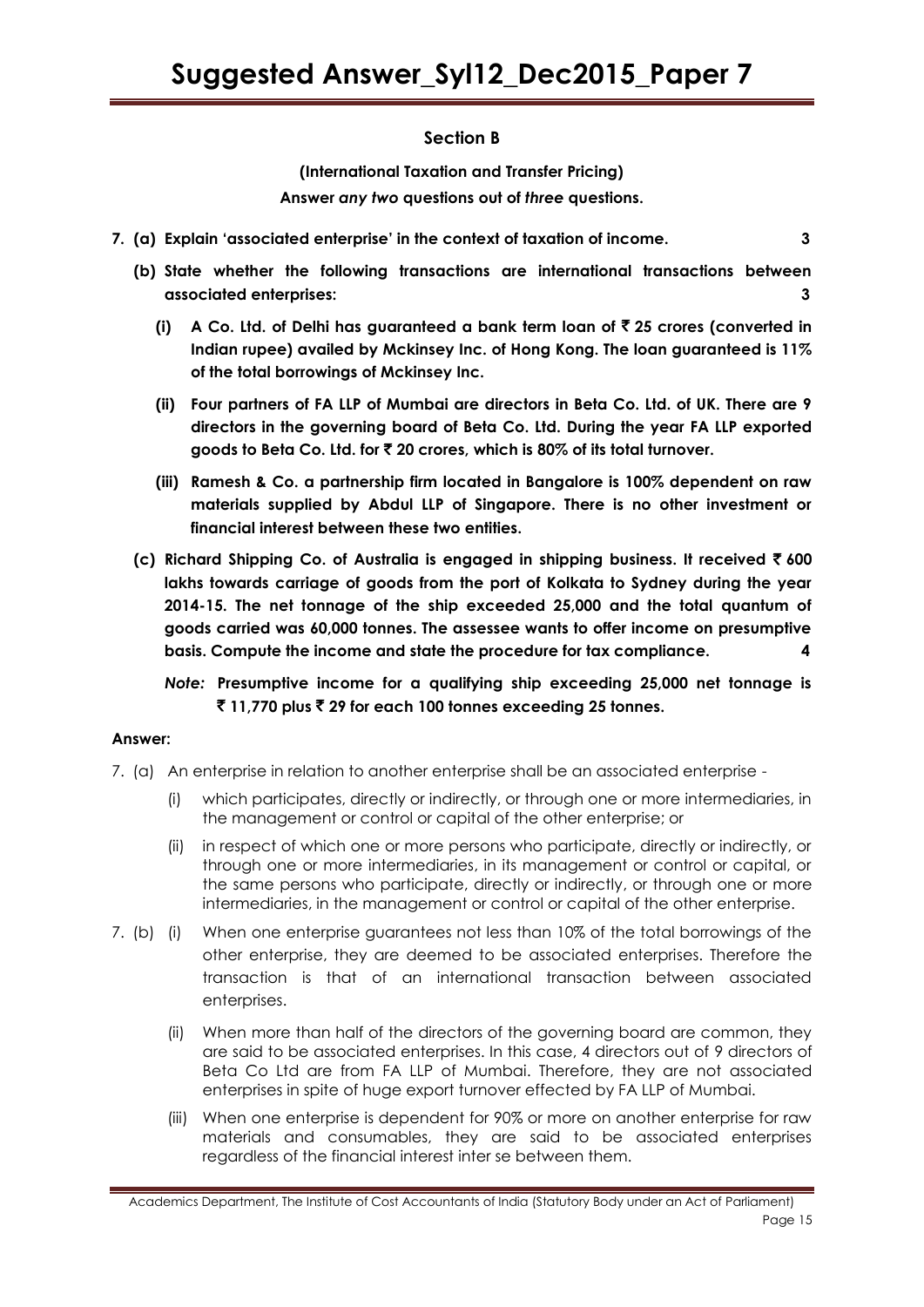# **Section B**

**(International Taxation and Transfer Pricing) Answer** *any two* **questions out of** *three* **questions.**

- **7. (a) Explain "associated enterprise" in the context of taxation of income. 3**
	- **(b) State whether the following transactions are international transactions between associated enterprises: 3**
		- **(i) A Co. Ltd. of Delhi has guaranteed a bank term loan of** ` **25 crores (converted in Indian rupee) availed by Mckinsey Inc. of Hong Kong. The loan guaranteed is 11% of the total borrowings of Mckinsey Inc.**
		- **(ii) Four partners of FA LLP of Mumbai are directors in Beta Co. Ltd. of UK. There are 9 directors in the governing board of Beta Co. Ltd. During the year FA LLP exported goods to Beta Co. Ltd. for** ` **20 crores, which is 80% of its total turnover.**
		- **(iii) Ramesh & Co. a partnership firm located in Bangalore is 100% dependent on raw materials supplied by Abdul LLP of Singapore. There is no other investment or financial interest between these two entities.**
	- **(c) Richard Shipping Co. of Australia is engaged in shipping business. It received** ` **600 lakhs towards carriage of goods from the port of Kolkata to Sydney during the year 2014-15. The net tonnage of the ship exceeded 25,000 and the total quantum of goods carried was 60,000 tonnes. The assessee wants to offer income on presumptive basis. Compute the income and state the procedure for tax compliance. 4**
		- *Note:* **Presumptive income for a qualifying ship exceeding 25,000 net tonnage is**  ` **11,770 plus** ` **29 for each 100 tonnes exceeding 25 tonnes.**

### **Answer:**

- 7. (a) An enterprise in relation to another enterprise shall be an associated enterprise
	- (i) which participates, directly or indirectly, or through one or more intermediaries, in the management or control or capital of the other enterprise; or
	- (ii) in respect of which one or more persons who participate, directly or indirectly, or through one or more intermediaries, in its management or control or capital, or the same persons who participate, directly or indirectly, or through one or more intermediaries, in the management or control or capital of the other enterprise.
- 7. (b) (i) When one enterprise guarantees not less than 10% of the total borrowings of the other enterprise, they are deemed to be associated enterprises. Therefore the transaction is that of an international transaction between associated enterprises.
	- (ii) When more than half of the directors of the governing board are common, they are said to be associated enterprises. In this case, 4 directors out of 9 directors of Beta Co Ltd are from FA LLP of Mumbai. Therefore, they are not associated enterprises in spite of huge export turnover effected by FA LLP of Mumbai.
	- (iii) When one enterprise is dependent for 90% or more on another enterprise for raw materials and consumables, they are said to be associated enterprises regardless of the financial interest inter se between them.

Academics Department, The Institute of Cost Accountants of India (Statutory Body under an Act of Parliament) Page 15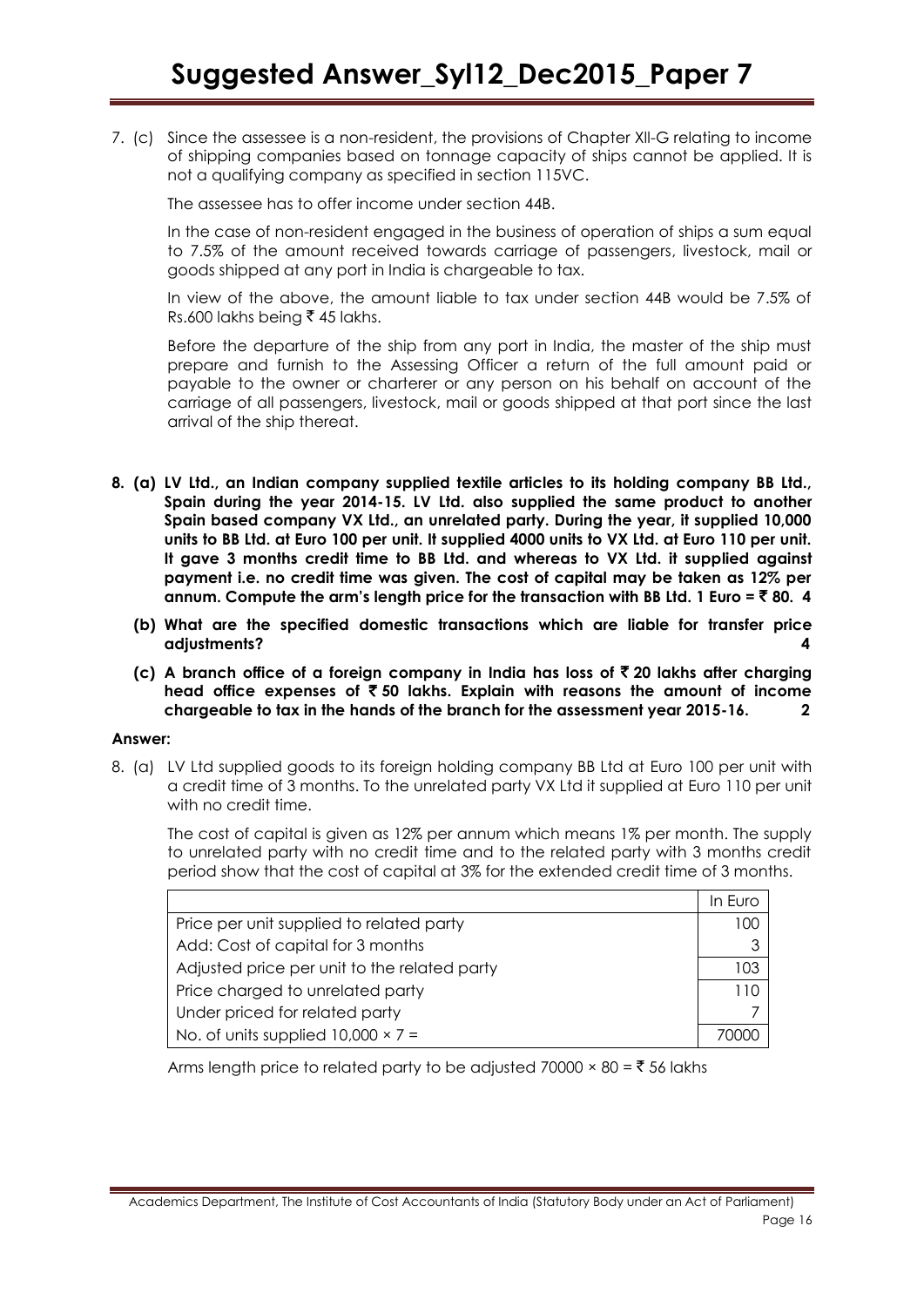7. (c) Since the assessee is a non-resident, the provisions of Chapter Xll-G relating to income of shipping companies based on tonnage capacity of ships cannot be applied. It is not a qualifying company as specified in section 115VC.

The assessee has to offer income under section 44B.

In the case of non-resident engaged in the business of operation of ships a sum equal to 7.5% of the amount received towards carriage of passengers, livestock, mail or goods shipped at any port in India is chargeable to tax.

In view of the above, the amount liable to tax under section 44B would be 7.5% of Rs.600 lakhs being ₹ 45 lakhs.

Before the departure of the ship from any port in India, the master of the ship must prepare and furnish to the Assessing Officer a return of the full amount paid or payable to the owner or charterer or any person on his behalf on account of the carriage of all passengers, livestock, mail or goods shipped at that port since the last arrival of the ship thereat.

- **8. (a) LV Ltd., an Indian company supplied textile articles to its holding company BB Ltd., Spain during the year 2014-15. LV Ltd. also supplied the same product to another Spain based company VX Ltd., an unrelated party. During the year, it supplied 10,000 units to BB Ltd. at Euro 100 per unit. It supplied 4000 units to VX Ltd. at Euro 110 per unit. It gave 3 months credit time to BB Ltd. and whereas to VX Ltd. it supplied against payment i.e. no credit time was given. The cost of capital may be taken as 12% per annum. Compute the arm"s length price for the transaction with BB Ltd. 1 Euro =** ` **80. 4**
	- **(b) What are the specified domestic transactions which are liable for transfer price adjustments? 4**
	- **(c) A branch office of a foreign company in India has loss of** ` **20 lakhs after charging head office expenses of** ` **50 lakhs. Explain with reasons the amount of income chargeable to tax in the hands of the branch for the assessment year 2015-16. 2**

### **Answer:**

8. (a) LV Ltd supplied goods to its foreign holding company BB Ltd at Euro 100 per unit with a credit time of 3 months. To the unrelated party VX Ltd it supplied at Euro 110 per unit with no credit time.

The cost of capital is given as 12% per annum which means 1% per month. The supply to unrelated party with no credit time and to the related party with 3 months credit period show that the cost of capital at 3% for the extended credit time of 3 months.

|                                              | In Euro |
|----------------------------------------------|---------|
| Price per unit supplied to related party     | 00      |
| Add: Cost of capital for 3 months            |         |
| Adjusted price per unit to the related party | 03      |
| Price charged to unrelated party             |         |
| Under priced for related party               |         |
| No. of units supplied $10,000 \times 7 =$    |         |

Arms length price to related party to be adjusted 70000  $\times$  80 =  $\overline{\phantom{0}}$  56 lakhs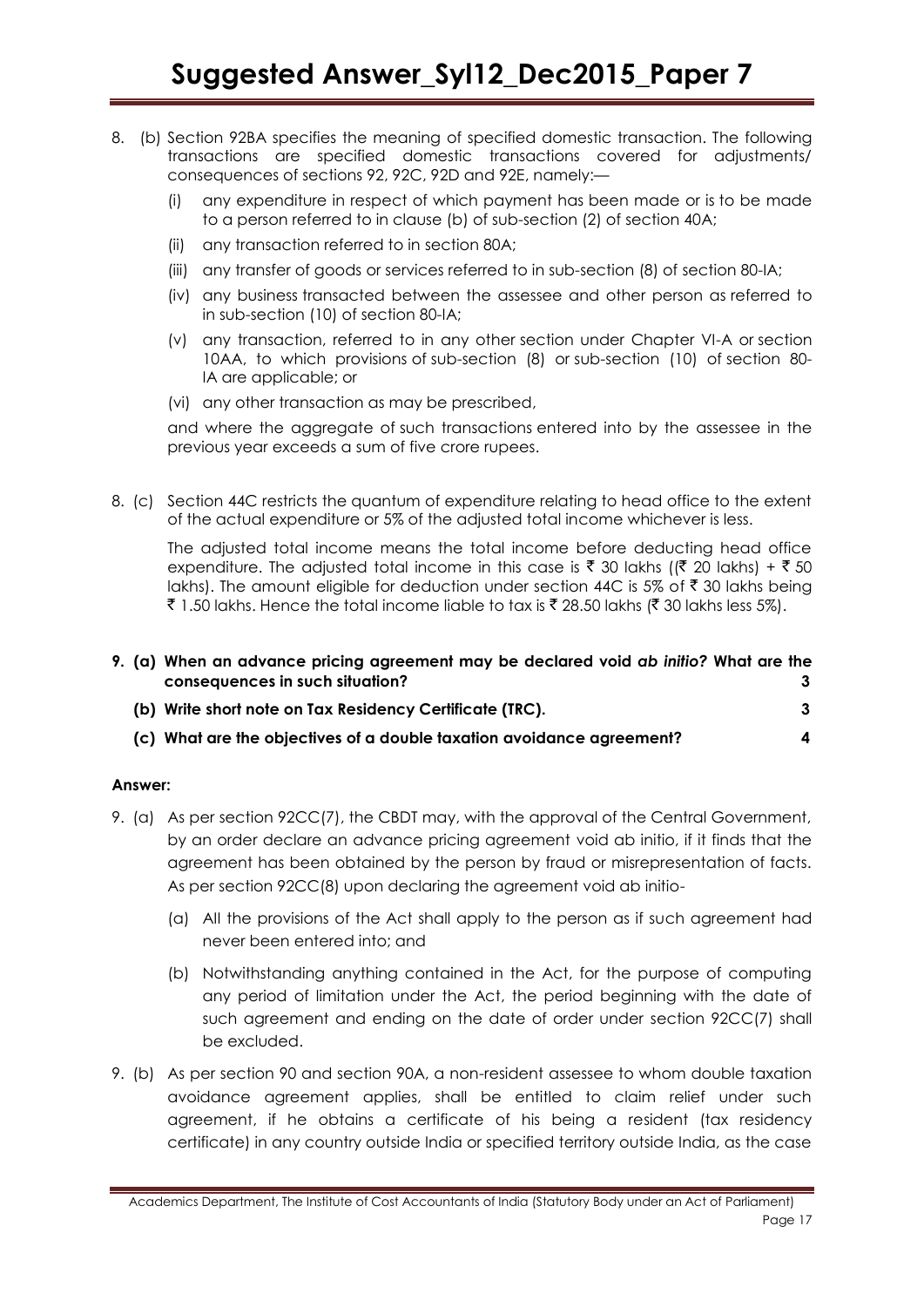- 8. (b) Section 92BA specifies the meaning of specified domestic transaction. The following transactions are specified domestic transactions covered for adjustments/ consequences of sections 92, 92C, 92D and 92E, namely:—
	- (i) any expenditure in respect of which payment has been made or is to be made to a person referred to in clause (b) of sub-section (2) of [section 40A;](javascript:ShowMainContent()
	- (ii) any transaction referred to in [section 80A;](javascript:ShowMainContent()
	- (iii) any transfer of goods or services referred to in sub-section (8) of [section 80-IA;](http://www.incometaxindia.gov.in/Acts/Income-tax%20Act,%201961/2015/Others/section80ia.htm)
	- (iv) any business transacted between the assessee and other person as referred to in sub-section (10) of [section 80-IA;](http://www.incometaxindia.gov.in/Acts/Income-tax%20Act,%201961/2015/Others/section80ia.htm)
	- (v) any transaction, referred to in any other section under Chapter VI-A or [section](javascript:ShowMainContent()  [10AA,](javascript:ShowMainContent() to which provisions of sub-section (8) or sub-section (10) of [section 80-](http://www.incometaxindia.gov.in/Acts/Income-tax%20Act,%201961/2015/Others/section80ia.htm) [IA](http://www.incometaxindia.gov.in/Acts/Income-tax%20Act,%201961/2015/Others/section80ia.htm) are applicable; or
	- (vi) any other transaction as may be prescribed,

and where the aggregate of such transactions entered into by the assessee in the previous year exceeds a sum of five crore rupees.

8. (c) Section 44C restricts the quantum of expenditure relating to head office to the extent of the actual expenditure or 5% of the adjusted total income whichever is less.

The adjusted total income means the total income before deducting head office expenditure. The adjusted total income in this case is  $\bar{\tau}$  30 lakhs (( $\bar{\tau}$  20 lakhs) +  $\bar{\tau}$  50 lakhs). The amount eligible for deduction under section 44C is 5% of  $\bar{z}$  30 lakhs being ₹ 1.50 lakhs. Hence the total income liable to tax is ₹ 28.50 lakhs (₹ 30 lakhs less 5%).

| 9. (a) When an advance pricing agreement may be declared void ab initio? What are the<br>consequences in such situation? | 3. |
|--------------------------------------------------------------------------------------------------------------------------|----|
| (b) Write short note on Tax Residency Certificate (TRC).                                                                 | 3  |
| (c) What are the objectives of a double taxation avoidance agreement?                                                    | 4  |

### **Answer:**

- 9. (a) As per section 92CC(7), the CBDT may, with the approval of the Central Government, by an order declare an advance pricing agreement void ab initio, if it finds that the agreement has been obtained by the person by fraud or misrepresentation of facts. As per section 92CC(8) upon declaring the agreement void ab initio-
	- (a) AII the provisions of the Act shall apply to the person as if such agreement had never been entered into; and
	- (b) Notwithstanding anything contained in the Act, for the purpose of computing any period of limitation under the Act, the period beginning with the date of such agreement and ending on the date of order under section 92CC(7) shall be excluded.
- 9. (b) As per section 90 and section 90A, a non-resident assessee to whom double taxation avoidance agreement applies, shall be entitled to claim relief under such agreement, if he obtains a certificate of his being a resident (tax residency certificate) in any country outside India or specified territory outside India, as the case

Academics Department, The Institute of Cost Accountants of India (Statutory Body under an Act of Parliament) Page 17